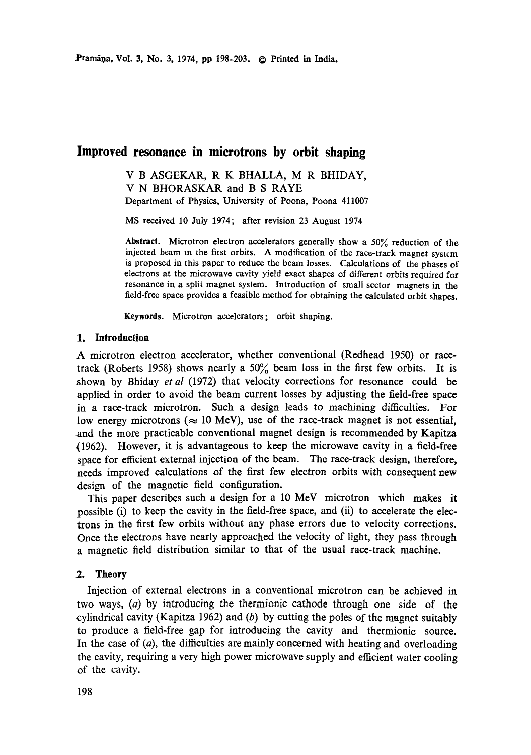# **Improved resonance in microtrons by orbit shaping**

# V B ASGEKAR, R K BHALLA, M R BHIDAY, V N BHORASKAR and B S RAYE Department of Physics, University of Poona, Poona 411007

MS received 10 July 1974; after revision 23 August 1974

Abstract. Microtron electron accelerators generally show a  $50\%$  reduction of the injected beam m the first orbits. A modification of the race-track magnet system is proposed in this paper to reduce the beam losses. Calculations of the phases of electrons at the microwave cavity yield exact shapes of different orbits required for resonance in a split magnet system. Introduction of small sector magnets in the field-free space provides a feasible method for obtaining the calculated oibit shapes.

**Keywords.** Microtron accelerators; orbit shaping.

### **1. Introduction**

A microtron electron accelerator, whether conventional (Redhead 1950) or racetrack (Roberts 1958) shows nearly a  $50\%$  beam loss in the first few orbits. It is shown by Bhiday *et al* (1972) that velocity corrections for resonance could be applied in order to avoid the beam current losses by adjusting the field-free space in a race-track microtron. Such a design leads to machining difficulties. For low energy microtrons ( $\approx 10$  MeV), use of the race-track magnet is not essential, -and the more practicable conventional magnet design is recommended by Kapitza (1962). However, it is advantageous to keep the microwave cavity in a field-free space for efficient external injection of the beam. The race-track design, therefore, needs improved calculations of the first few electron orbits with consequent new design of the magnetic field configuration.

This paper describes such a design for a 10 MeV microtron which makes it possible (i) to keep the cavity in the field-free space, and (ii) to accelerate the electrons in the first few orbits without any phase errors due to velocity corrections. Once the electrons have nearly approached the velocity of light, they pass through a magnetic field distribution similar to that of the usual race-track machine.

## 2. **Theory**

Injection of external electrons in a conventional microtron can be achieved in two ways, (a) by introducing the thermionic cathode through one side of the cylindrical cavity (Kapitza 1962) and  $(b)$  by cutting the poles of the magnet suitably to produce a field-free gap for introducing the cavity and thermionic source. In the case of  $(a)$ , the difficulties are mainly concerned with heating and overloading the cavity, requiring a very high power microwave supply and efficient water cooling of the cavity.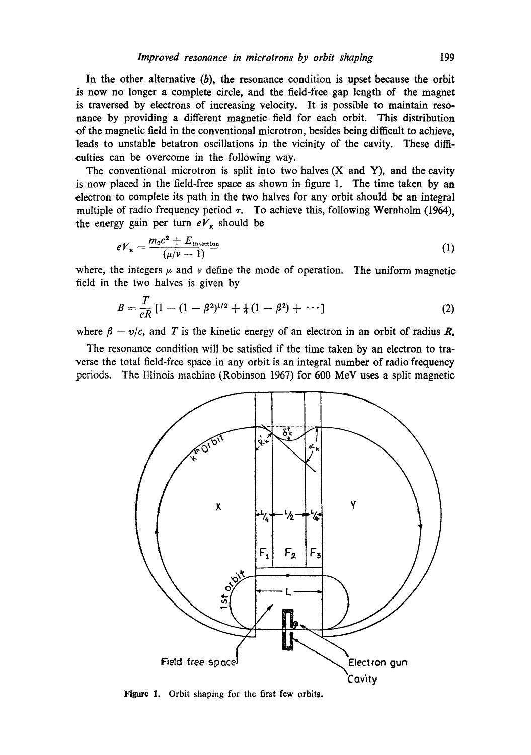In the other alternative  $(b)$ , the resonance condition is upset because the orbit is now no longer a complete circle, and the field-free gap length of the magnet is traversed by electrons of increasing velocity. It is possible to maintain resonance by providing a different magnetic field for each orbit. This distribution of the magnetic field in the conventional microtron, besides being difficult to achieve, leads to unstable betatron oscillations in the vicinity of the cavity. These difficulties can be overcome in the following way.

The conventional microtron is split into two halves  $(X \text{ and } Y)$ , and the cavity is now placed in the field-free space as shown in figure 1. The time taken by an electron to complete its path in the two halves for any orbit should be an integral multiple of radio frequency period  $\tau$ . To achieve this, following Wernholm (1964), the energy gain per turn  $eV<sub>n</sub>$  should be

$$
eV_{\rm R} = \frac{m_0 c^2 + E_{\rm infection}}{(\mu/\nu - 1)}\tag{1}
$$

where, the integers  $\mu$  and v define the mode of operation. The uniform magnetic field in the two halves is given by

$$
B = \frac{T}{eR} \left[ 1 - (1 - \beta^2)^{1/2} + \frac{1}{4} (1 - \beta^2) + \cdots \right]
$$
 (2)

where  $\beta = v/c$ , and T is the kinetic energy of an electron in an orbit of radius R.

The resonance condition will be satisfied if the time taken by an electron to traverse the total field-free space in any orbit is an integral number of radio frequency periods. The Illinois machine (Robinson 1967) for 600 MeV uses a split magnetic



Figure 1. Orbit shaping for the first few orbits.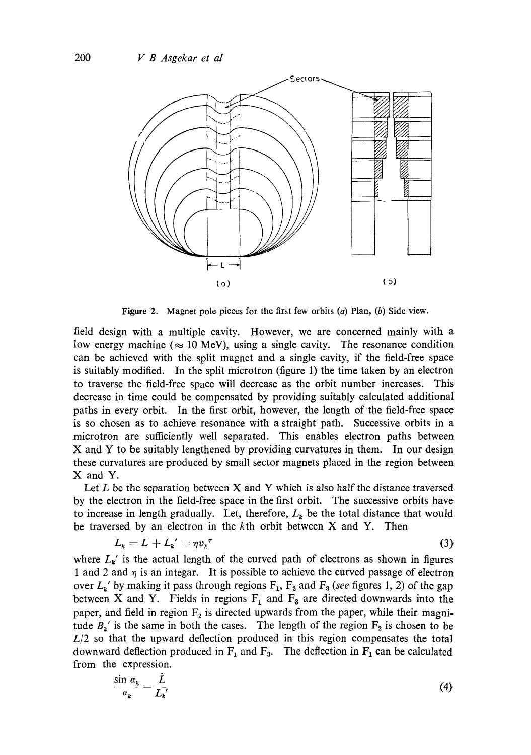

Figure 2. Magnet pole pieces for the first few orbits (a) Plan, (b) Side view.

field design with a multiple cavity. However, we are concerned mainly with a low energy machine ( $\approx 10$  MeV), using a single cavity. The resonance condition can be achieved with the split magnet and a single cavity, if the field-free space is suitably modified. In the split microtron (figure 1) the time taken by an electron to traverse the field-free space will decrease as the orbit number increases. This decrease in time could be compensated by providing suitably calculated additional paths in every orbit. In the first orbit, however, the length of the field-free space is so chosen as to achieve resonance with a straight path. Successive orbits in a microtron are sufficiently well separated. This enables electron paths between X and Y to be suitably lengthened by providing curvatures in them. In our design these curvatures are produced by small sector magnets placed in the region between X and Y.

Let  $L$  be the separation between  $X$  and  $Y$  which is also half the distance traversed by the electron in the field-free space in the first orbit. The successive orbits have to increase in length gradually. Let, therefore,  $L_k$  be the total distance that would be traversed by an electron in the kth orbit between X and Y. Then

$$
L_{k}=L+L_{k}^{'}=\eta v_{k}^{\ \tau}
$$
\n
$$
\tag{3}
$$

where  $L_{\mathbf{k}}'$  is the actual length of the curved path of electrons as shown in figures 1 and 2 and  $\eta$  is an integar. It is possible to achieve the curved passage of electron over  $L_{\bf{k}}'$  by making it pass through regions  $F_1$ ,  $F_2$  and  $F_3$  *(see figures 1, 2)* of the gap between X and Y. Fields in regions  $F_1$  and  $F_3$  are directed downwards into the paper, and field in region  $F_2$  is directed upwards from the paper, while their magnitude  $B_{k}$ ' is the same in both the cases. The length of the region  $F_2$  is chosen to be *L/2* so that the upward deflection produced in this region compensates the total downward deflection produced in  $F_1$  and  $F_3$ . The deflection in  $F_1$  can be calculated from the expression.

$$
\frac{\sin a_k}{a_k} = \frac{L}{L_k'}\tag{4}
$$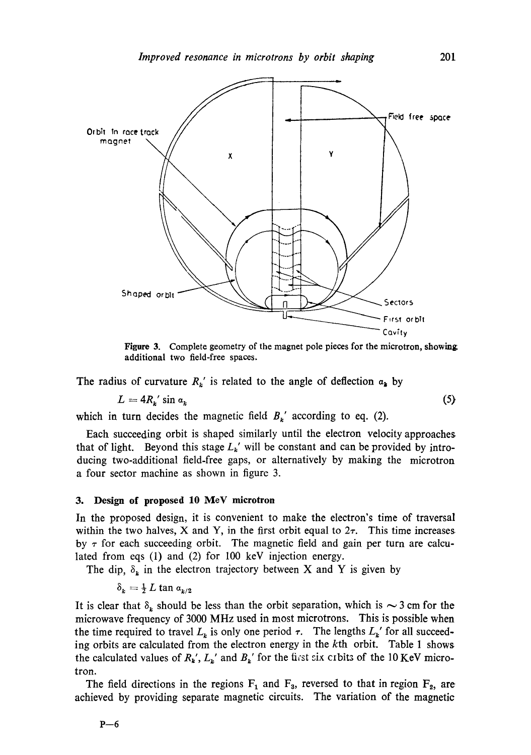

Figure 3. Complete geometry of the magnet pole pieces for the microtron, showing additional two field-free spaces.

The radius of curvature  $R_k'$  is related to the angle of deflection  $a_k$  by

$$
L = 4R_{k}^{\prime} \sin \alpha_{k} \tag{5}
$$

which in turn decides the magnetic field  $B_{k}$  according to eq. (2).

Each succeeding orbit is shaped similarly until the electron velocity approaches that of light. Beyond this stage  $L_{k}$ ' will be constant and can be provided by introducing two-additional field-free gaps, or alternatively by making the microtron a four sector machine as shown in figure 3.

#### **3. Design of proposed 10 MeV mierotron**

In the proposed design, it is convenient to make the electron's time of traversal within the two halves, X and Y, in the first orbit equal to  $2\tau$ . This time increases by  $\tau$  for each succeeding orbit. The magnetic field and gain per turn are calculated from eqs (1) and (2) for 100 keV injection energy.

The dip,  $\delta_k$  in the electron trajectory between X and Y is given by

$$
\delta_k = \frac{1}{2} L \tan a_{k/2}
$$

It is clear that  $\delta_k$  should be less than the orbit separation, which is  $\sim$  3 cm for the microwave frequency of 3000 MHz used in most microtrons. This is possible when the time required to travel  $L_{k}$  is only one period  $\tau$ . The lengths  $L_{k}'$  for all succeeding orbits are calculated from the electron energy in the kth orbit. Table 1 shows the calculated values of  $R_{k}$ ',  $L_{k}$ ' and  $B_{k}$ ' for the tirst six crbits of the 10 KeV microtron.

The field directions in the regions  $F_1$  and  $F_3$ , reversed to that in region  $F_2$ , are achieved by providing separate magnetic circuits. The variation of the magnetic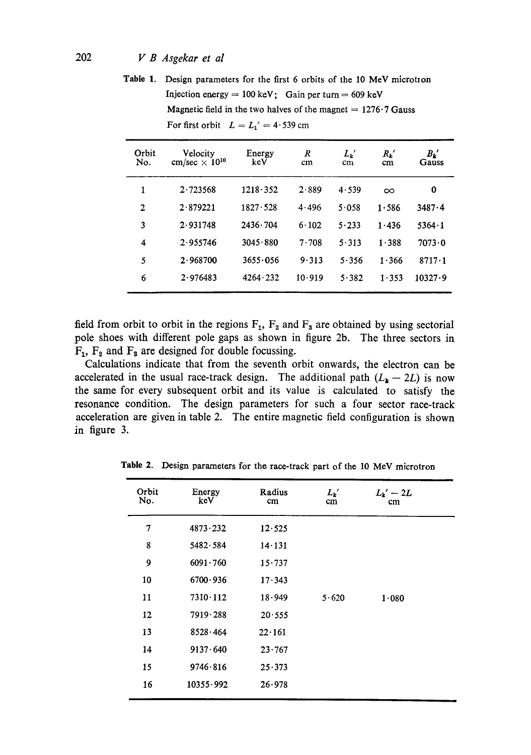# 202 *V B Asgekar et al*

Table 1. Design parameters for the first 6 orbits of the 10 MeV microtron Injection energy =  $100 \text{ keV}$ ; Gain per turn = 609 keV Magnetic field in the two halves of the magnet  $= 1276.7$  Gauss For first orbit  $L = L_1' = 4.539$  cm

| Orbit<br>No. | Velocity<br>cm/sec $\times 10^{10}$ | Energy<br>keV    | R<br>cm | $L_{k}$<br>$\rm cm$ | $R_k'$<br>cm | $B_{\boldsymbol{k}}'$<br>Gauss |
|--------------|-------------------------------------|------------------|---------|---------------------|--------------|--------------------------------|
| 1            | 2.723568                            | 1218.352         | 2.889   | 4.539               | $\infty$     | 0                              |
| 2            | 2.879221                            | $1827 \cdot 528$ | 4.496   | 5.058               | 1.586        | 3487.4                         |
| 3            | 2.931748                            | $2436 \cdot 704$ | 6.102   | 5.233               | 1.436        | $5364 \cdot 1$                 |
| 4            | 2.955746                            | 3045.880         | 7.708   | 5.313               | 1.388        | $7073 \cdot 0$                 |
| 5            | 2.968700                            | 3655.056         | 9.313   | 5.356               | 1.366        | $8717 \cdot 1$                 |
| 6            | 2.976483                            | $4264 \cdot 232$ | 10.919  | 5.382               | 1.353        | 10327.9                        |

field from orbit to orbit in the regions  $F_1$ ,  $F_2$  and  $F_3$  are obtained by using sectorial pole shoes with different pole gaps as shown in figure 2b. The three sectors in  $F_1$ ,  $F_2$  and  $F_3$  are designed for double focussing.

Calculations indicate that from the seventh orbit onwards, the electron can be accelerated in the usual race-track design. The additional path  $(L_{\mathbf{k}} - 2L)$  is now the same for every subsequent orbit and its value is calculated to satisfy the resonance condition. The design parameters for such a four sector race-track acceleration are given in table 2. The entire magnetic field configuration is shown in figure 3.

| Orbit<br>No. | Energy<br>keV    | Radius<br>cm   | $L_{k}$<br>cm | $L_{k}^{\prime} - 2L$<br>cm |  |
|--------------|------------------|----------------|---------------|-----------------------------|--|
| 7            | $4873 \cdot 232$ | 12.525         |               |                             |  |
| 8            | 5482.584         | 14.131         |               |                             |  |
| 9            | 6091.760         | 15.737         |               |                             |  |
| 10           | 6700.936         | 17.343         |               |                             |  |
| 11           | $7310 \cdot 112$ | 18.949         | 5.620         | 1.080                       |  |
| 12           | 7919.288         | 20.555         |               |                             |  |
| 13           | 8528.464         | $22 \cdot 161$ |               |                             |  |
| 14           | 9137.640         | $23 \cdot 767$ |               |                             |  |
| 15           | 9746.816         | 25.373         |               |                             |  |
| 16           | 10355 992        | 26.978         |               |                             |  |

**Table** 2. Design parameters for the race-track part of the 10 MeV microtron